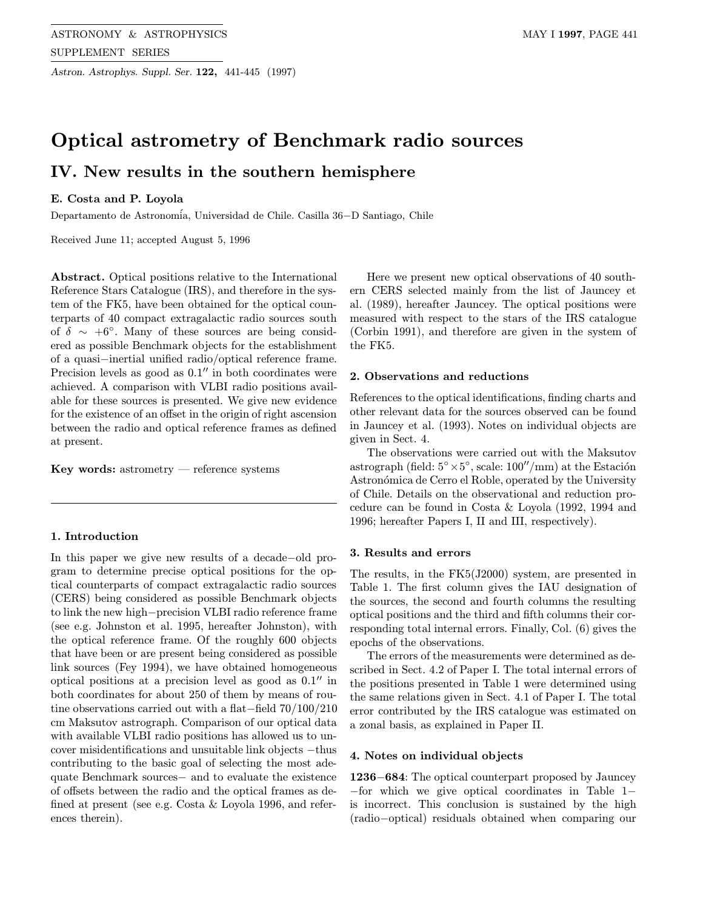Astron. Astrophys. Suppl. Ser. 122, 441-445 (1997)

# Optical astrometry of Benchmark radio sources IV. New results in the southern hemisphere

#### E. Costa and P. Loyola

Departamento de Astronom´ia, Universidad de Chile. Casilla 36−D Santiago, Chile

Received June 11; accepted August 5, 1996

Abstract. Optical positions relative to the International Reference Stars Catalogue (IRS), and therefore in the system of the FK5, have been obtained for the optical counterparts of 40 compact extragalactic radio sources south of  $\delta \sim +6^{\circ}$ . Many of these sources are being considered as possible Benchmark objects for the establishment of a quasi−inertial unified radio/optical reference frame. Precision levels as good as  $0.1$ " in both coordinates were achieved. A comparison with VLBI radio positions available for these sources is presented. We give new evidence for the existence of an offset in the origin of right ascension between the radio and optical reference frames as defined at present.

Key words: astrometry — reference systems

### 1. Introduction

In this paper we give new results of a decade−old program to determine precise optical positions for the optical counterparts of compact extragalactic radio sources (CERS) being considered as possible Benchmark objects to link the new high−precision VLBI radio reference frame (see e.g. Johnston et al. 1995, hereafter Johnston), with the optical reference frame. Of the roughly 600 objects that have been or are present being considered as possible link sources (Fey 1994), we have obtained homogeneous optical positions at a precision level as good as  $0.1$ <sup>"</sup> in both coordinates for about 250 of them by means of routine observations carried out with a flat−field 70/100/210 cm Maksutov astrograph. Comparison of our optical data with available VLBI radio positions has allowed us to uncover misidentifications and unsuitable link objects −thus contributing to the basic goal of selecting the most adequate Benchmark sources− and to evaluate the existence of offsets between the radio and the optical frames as defined at present (see e.g. Costa & Loyola 1996, and references therein).

Here we present new optical observations of 40 southern CERS selected mainly from the list of Jauncey et al. (1989), hereafter Jauncey. The optical positions were measured with respect to the stars of the IRS catalogue (Corbin 1991), and therefore are given in the system of the FK5.

#### 2. Observations and reductions

References to the optical identifications, finding charts and other relevant data for the sources observed can be found in Jauncey et al. (1993). Notes on individual objects are given in Sect. 4.

The observations were carried out with the Maksutov astrograph (field:  $5° \times 5°$ , scale: 100''/mm) at the Estación Astronómica de Cerro el Roble, operated by the University of Chile. Details on the observational and reduction procedure can be found in Costa & Loyola (1992, 1994 and 1996; hereafter Papers I, II and III, respectively).

#### 3. Results and errors

The results, in the FK5(J2000) system, are presented in Table 1. The first column gives the IAU designation of the sources, the second and fourth columns the resulting optical positions and the third and fifth columns their corresponding total internal errors. Finally, Col. (6) gives the epochs of the observations.

The errors of the measurements were determined as described in Sect. 4.2 of Paper I. The total internal errors of the positions presented in Table 1 were determined using the same relations given in Sect. 4.1 of Paper I. The total error contributed by the IRS catalogue was estimated on a zonal basis, as explained in Paper II.

#### 4. Notes on individual objects

1236−684: The optical counterpart proposed by Jauncey −for which we give optical coordinates in Table 1− is incorrect. This conclusion is sustained by the high (radio−optical) residuals obtained when comparing our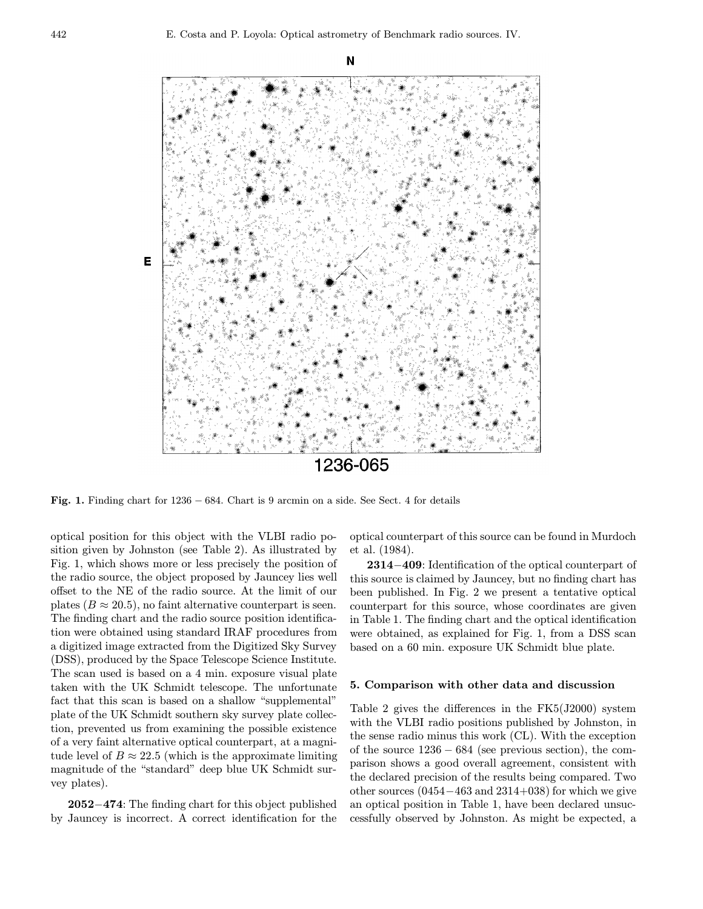N



Fig. 1. Finding chart for 1236 − 684. Chart is 9 arcmin on a side. See Sect. 4 for details

optical position for this object with the VLBI radio position given by Johnston (see Table 2). As illustrated by Fig. 1, which shows more or less precisely the position of the radio source, the object proposed by Jauncey lies well offset to the NE of the radio source. At the limit of our plates ( $B \approx 20.5$ ), no faint alternative counterpart is seen. The finding chart and the radio source position identification were obtained using standard IRAF procedures from a digitized image extracted from the Digitized Sky Survey (DSS), produced by the Space Telescope Science Institute. The scan used is based on a 4 min. exposure visual plate taken with the UK Schmidt telescope. The unfortunate fact that this scan is based on a shallow "supplemental" plate of the UK Schmidt southern sky survey plate collection, prevented us from examining the possible existence of a very faint alternative optical counterpart, at a magnitude level of  $B \approx 22.5$  (which is the approximate limiting magnitude of the "standard" deep blue UK Schmidt survey plates).

2052−474: The finding chart for this object published by Jauncey is incorrect. A correct identification for the

optical counterpart of this source can be found in Murdoch et al. (1984).

2314−409: Identification of the optical counterpart of this source is claimed by Jauncey, but no finding chart has been published. In Fig. 2 we present a tentative optical counterpart for this source, whose coordinates are given in Table 1. The finding chart and the optical identification were obtained, as explained for Fig. 1, from a DSS scan based on a 60 min. exposure UK Schmidt blue plate.

#### 5. Comparison with other data and discussion

Table 2 gives the differences in the FK5(J2000) system with the VLBI radio positions published by Johnston, in the sense radio minus this work (CL). With the exception of the source 1236 − 684 (see previous section), the comparison shows a good overall agreement, consistent with the declared precision of the results being compared. Two other sources  $(0454-463$  and  $2314+038$ ) for which we give an optical position in Table 1, have been declared unsuccessfully observed by Johnston. As might be expected, a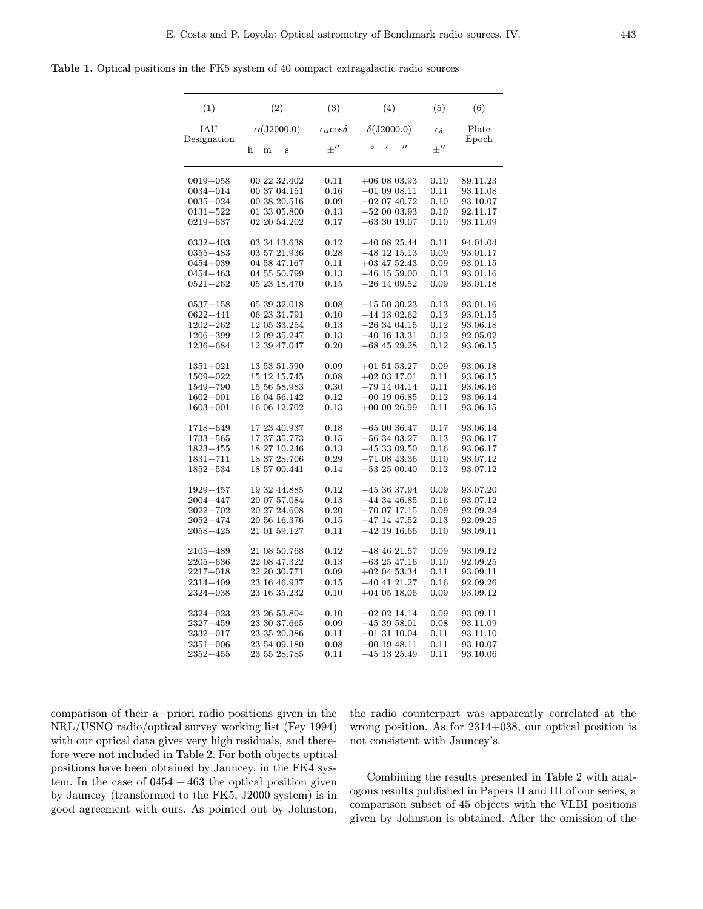Table 1. Optical positions in the FK5 system of 40 compact extragalactic radio sources

| (1)                | (2)                   | (3)                              | (4)                                      | (5)                 | (6)               |
|--------------------|-----------------------|----------------------------------|------------------------------------------|---------------------|-------------------|
| IAU<br>Designation | $\alpha$ (J2000.0)    | $\epsilon_{\alpha}$ cos $\delta$ | $\delta$ (J2000.0)                       | $\epsilon_{\delta}$ | Plate<br>$E$ poch |
|                    | $\mathbf h$<br>m<br>S | $+$ "                            | $\circ$<br>$\prime$<br>$^{\prime\prime}$ | $+''$               |                   |
| $0019 + 058$       | 00 22 32.402          | 0.11                             | $+060803.93$                             | 0.10                | 89.11.23          |
| $0034 - 014$       | 00 37 04.151          | 0.16                             | $-010908.11$                             | 0.11                | 93.11.08          |
| $0035 - 024$       | 00 38 20.516          | 0.09                             | $-020740.72$                             | 0.10                | 93.10.07          |
| $0131 - 522$       | 01 33 05.800          | 0.13                             | $-520003.93$                             | 0.10                | 92.11.17          |
| $0219 - 637$       | 02 20 54.202          | 0.17                             | $-63$ 30 19.07                           | 0.10                | 93.11.09          |
| $0332 - 403$       | 03 34 13.638          | 0.12                             | $-400825.44$                             | 0.11                | 94.01.04          |
| $0355 - 483$       | 03 57 21.936          | 0.28                             | $-48$ 12 15.13                           | 0.09                | 93.01.17          |
| $0454 + 039$       | 04 58 47.167          | 0.11                             | $+03$ 47 52.43                           | 0.09                | 93.01.15          |
| 0454-463           | 04 55 50.799          | 0.13                             | $-46$ 15 59.00                           | 0.13                | 93.01.16          |
| $0521 - 262$       | 05 23 18.470          | 0.15                             | $-26$ 14 09.52                           | 0.09                | 93.01.18          |
| $0537 - 158$       | 05 39 32.018          | 0.08                             | $-155030.23$                             | 0.13                | 93.01.16          |
| $0622 - 441$       | 06 23 31.791          | 0.10                             | $-44$ 13 02.62                           | 0.13                | 93.01.15          |
| $1202 - 262$       | 12 05 33.254          | 0.13                             | $-263404.15$                             | 0.12                | 93.06.18          |
| $1206 - 399$       | 12 09 35.247          | 0.13                             | $-40$ 16 13.31                           | 0.12                | 92.05.02          |
| $1236 - 684$       | 12 39 47.047          | 0.20                             | $-68$ 45 29.28                           | 0.12                | 93.06.15          |
| $1351 + 021$       | 13 53 51.590          | 0.09                             | $+015153.27$                             | 0.09                | 93.06.18          |
| 1509+022           | 15 12 15.745          | 0.08                             | $+02$ 03 17.01                           | 0.11                | 93.06.15          |
| 1549-790           | 15 56 58.983          | 0.30                             | $-79$ 14 04.14                           | 0.11                | 93.06.16          |
| $1602 - 001$       | 16 04 56.142          | 0.12                             | $-00$ 19 06.85                           | 0.12                | 93.06.14          |
| $1603 + 001$       | 16 06 12.702          | 0.13                             | $+00$ 00 26.99                           | 0.11                | 93.06.15          |
| $1718 - 649$       | 17 23 40.937          | 0.18                             | $-650036.47$                             | 0.17                | 93.06.14          |
| $1733 - 565$       | 17 37 35.773          | 0.15                             | $-563403.27$                             | 0.13                | 93.06.17          |
| $1823 - 455$       | 18 27 10.246          | 0.13                             | $-45309.50$                              | 0.16                | 93.06.17          |
| $1831 - 711$       | 18 37 28.706          | 0.29                             | $-710843.36$                             | 0.10                | 93.07.12          |
| $1852 - 534$       | 18 57 00.441          | 0.14                             | $-532500.40$                             | 0.12                | 93.07.12          |
| $1929 - 457$       | 19 32 44.885          | 0.12                             | $-453637.94$                             | 0.09                | 93.07.20          |
| $2004 - 447$       | 20 07 57.084          | 0.13                             | $-44$ 34 46.85                           | 0.16                | 93.07.12          |
| $2022 - 702$       | 20 27 24.608          | 0.20                             | $-700717.15$                             | 0.09                | 92.09.24          |
| $2052 - 474$       | 20 56 16.376          | 0.15                             | $-47$ 14 47.52                           | 0.13                | 92.09.25          |
| $2058 - 425$       | 21 01 59.127          | 0.11                             | $-42$ 19 16.66                           | 0.10                | 93.09.11          |
| $2105 - 489$       | 21 08 50.768          | 0.12                             | $-48$ 46 21.57                           | 0.09                | 93.09.12          |
| $2205 - 636$       | 22 08 47.322          | 0.13                             | $-632547.16$                             | 0.10                | 92.09.25          |
| $2217 + 018$       | 22 20 30.771          | 0.09                             | $+02$ 04 53.34                           | 0.11                | 93.09.11          |
| 2314-409           | 23 16 46.937          | 0.15                             | $-40$ 41 21.27                           | 0.16                | 92.09.26          |
| $2324 + 038$       | 23 16 35.232          | 0.10                             | $+04$ 05 18.06                           | 0.09                | 93.09.12          |
| $2324 - 023$       | 23 26 53.804          | 0.10                             | $-02$ 02 14.14                           | 0.09                | 93.09.11          |
| $2327 - 459$       | 23 30 37.665          | 0.09                             | $-453958.01$                             | 0.08                | 93.11.09          |
| $2332 - 017$       | 23 35 20.386          | 0.11                             | $-01$ 31 10.04                           | 0.11                | 93.11.10          |
| $2351 - 006$       | 23 54 09.180          | 0.08                             | $-00$ 19 48.11                           | 0.11                | 93.10.07          |
| $2352 - 455$       | 23 55 28.785          | 0.11                             | $-45$ 13 25.49                           | 0.11                | 93.10.06          |
|                    |                       |                                  |                                          |                     |                   |

comparison of their a−priori radio positions given in the NRL/USNO radio/optical survey working list (Fey 1994) with our optical data gives very high residuals, and therefore were not included in Table 2. For both objects optical positions have been obtained by Jauncey, in the FK4 system. In the case of 0454 − 463 the optical position given by Jauncey (transformed to the FK5, J2000 system) is in good agreement with ours. As pointed out by Johnston, the radio counterpart was apparently correlated at the wrong position. As for 2314+038, our optical position is not consistent with Jauncey's.

Combining the results presented in Table 2 with analogous results published in Papers II and III of our series, a comparison subset of 45 objects with the VLBI positions given by Johnston is obtained. After the omission of the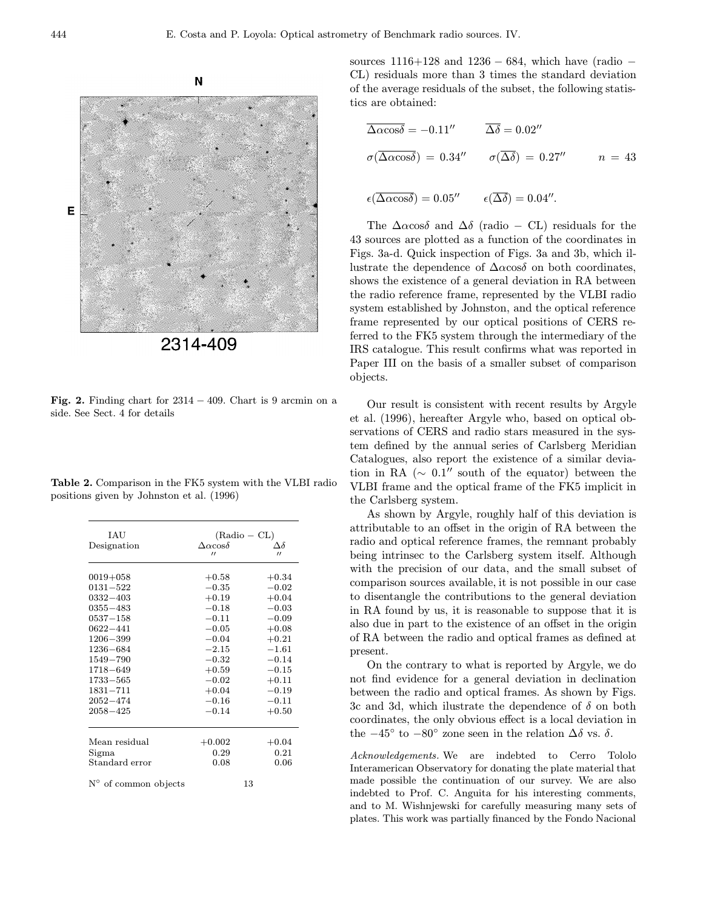



Fig. 2. Finding chart for  $2314 - 409$ . Chart is 9 arcmin on a side. See Sect. 4 for details

Table 2. Comparison in the FK5 system with the VLBI radio positions given by Johnston et al. (1996)

| <b>IAU</b><br>Designation                                                                                                                                                                                                    | $(Radio - CL)$<br>$\Delta\alpha$ cos $\delta$<br>$^{\prime\prime}$                                                                                     | Δδ<br>$^{\prime\prime}$                                                                                                                                |
|------------------------------------------------------------------------------------------------------------------------------------------------------------------------------------------------------------------------------|--------------------------------------------------------------------------------------------------------------------------------------------------------|--------------------------------------------------------------------------------------------------------------------------------------------------------|
| $0019 + 058$<br>$0131 - 522$<br>$0332 - 403$<br>$0355 - 483$<br>$0537 - 158$<br>$0622 - 441$<br>$1206 - 399$<br>$1236 - 684$<br>$1549 - 790$<br>$1718 - 649$<br>$1733 - 565$<br>$1831 - 711$<br>$2052 - 474$<br>$2058 - 425$ | $+0.58$<br>$-0.35$<br>$+0.19$<br>$-0.18$<br>$-0.11$<br>$-0.05$<br>$-0.04$<br>$-2.15$<br>$-0.32$<br>$+0.59$<br>$-0.02$<br>$+0.04$<br>$-0.16$<br>$-0.14$ | $+0.34$<br>$-0.02$<br>$+0.04$<br>$-0.03$<br>$-0.09$<br>$+0.08$<br>$+0.21$<br>$-1.61$<br>$-0.14$<br>$-0.15$<br>$+0.11$<br>$-0.19$<br>$-0.11$<br>$+0.50$ |
| Mean residual<br>Sigma<br>Standard error<br>$N^{\circ}$ of common objects                                                                                                                                                    | $+0.002$<br>0.29<br>0.08                                                                                                                               | $+0.04$<br>0.21<br>0.06<br>13                                                                                                                          |

sources  $1116+128$  and  $1236-684$ , which have (radio – CL) residuals more than 3 times the standard deviation of the average residuals of the subset, the following statistics are obtained:

$$
\overline{\Delta \alpha \cos \delta} = -0.11'' \qquad \overline{\Delta \delta} = 0.02''
$$
  
\n
$$
\sigma(\overline{\Delta \alpha \cos \delta}) = 0.34'' \qquad \sigma(\overline{\Delta \delta}) = 0.27'' \qquad n = 43
$$
  
\n
$$
\epsilon(\overline{\Delta \alpha \cos \delta}) = 0.05'' \qquad \epsilon(\overline{\Delta \delta}) = 0.04''.
$$

The  $\Delta \alpha$ cos $\delta$  and  $\Delta \delta$  (radio – CL) residuals for the 43 sources are plotted as a function of the coordinates in Figs. 3a-d. Quick inspection of Figs. 3a and 3b, which illustrate the dependence of  $\Delta \alpha \cos \delta$  on both coordinates, shows the existence of a general deviation in RA between the radio reference frame, represented by the VLBI radio system established by Johnston, and the optical reference frame represented by our optical positions of CERS referred to the FK5 system through the intermediary of the IRS catalogue. This result confirms what was reported in Paper III on the basis of a smaller subset of comparison objects.

Our result is consistent with recent results by Argyle et al. (1996), hereafter Argyle who, based on optical observations of CERS and radio stars measured in the system defined by the annual series of Carlsberg Meridian Catalogues, also report the existence of a similar deviation in RA ( $\sim 0.1''$  south of the equator) between the VLBI frame and the optical frame of the FK5 implicit in the Carlsberg system.

As shown by Argyle, roughly half of this deviation is attributable to an offset in the origin of RA between the radio and optical reference frames, the remnant probably being intrinsec to the Carlsberg system itself. Although with the precision of our data, and the small subset of comparison sources available, it is not possible in our case to disentangle the contributions to the general deviation in RA found by us, it is reasonable to suppose that it is also due in part to the existence of an offset in the origin of RA between the radio and optical frames as defined at present.

On the contrary to what is reported by Argyle, we do not find evidence for a general deviation in declination between the radio and optical frames. As shown by Figs. 3c and 3d, which ilustrate the dependence of  $\delta$  on both coordinates, the only obvious effect is a local deviation in the  $-45^\circ$  to  $-80^\circ$  zone seen in the relation  $\Delta\delta$  vs.  $\delta$ .

Acknowledgements. We are indebted to Cerro Tololo Interamerican Observatory for donating the plate material that made possible the continuation of our survey. We are also indebted to Prof. C. Anguita for his interesting comments, and to M. Wishnjewski for carefully measuring many sets of plates. This work was partially financed by the Fondo Nacional